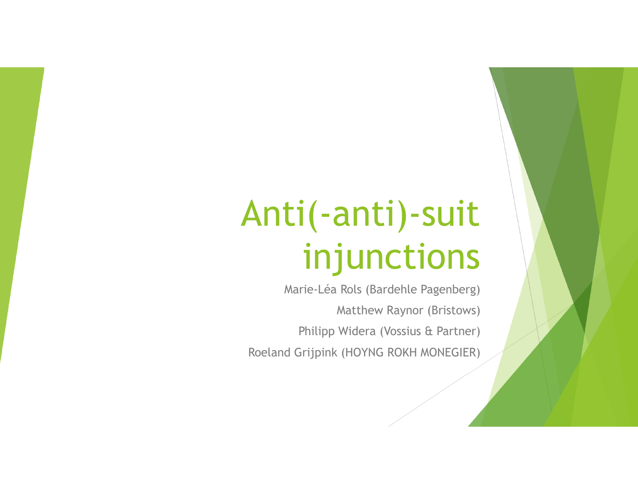Marie-Léa Rols (Bardehle Pagenberg) Matthew Raynor (Bristows) Philipp Widera (Vossius & Partner) Roeland Grijpink (HOYNG ROKH MONEGIER)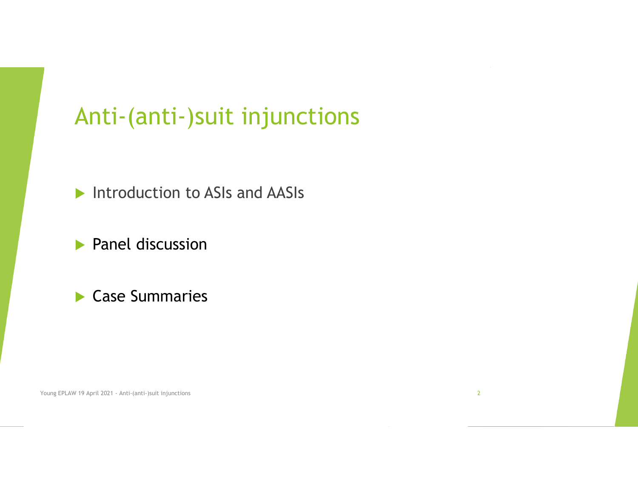**Introduction to ASIs and AASIs** 

**Panel discussion** 

#### Case Summaries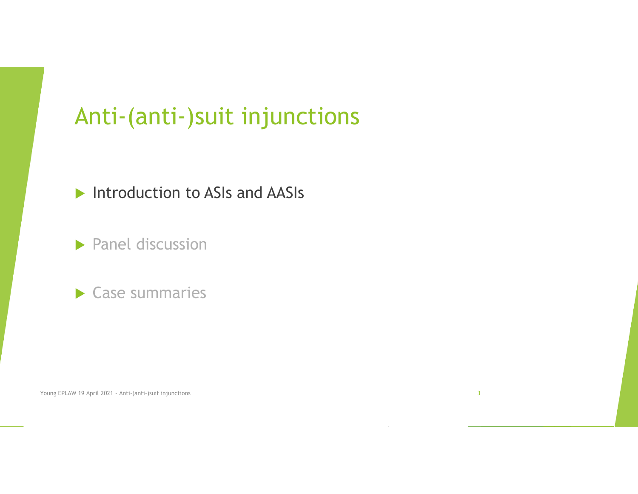#### **Introduction to ASIs and AASIs**

 $\blacktriangleright$  Panel discussion

#### Case summaries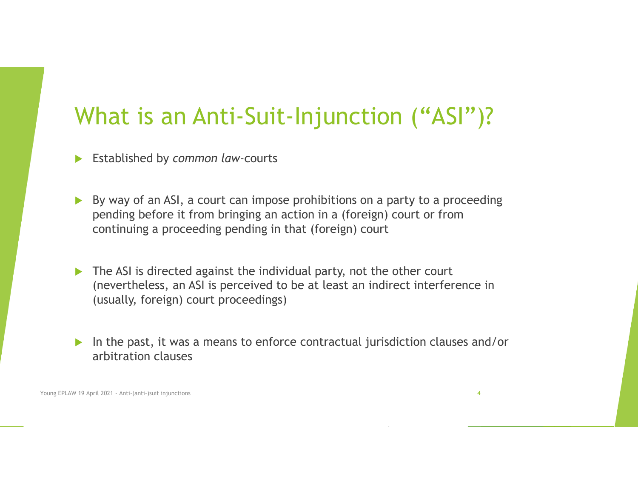### What is an Anti-Suit-Injunction ("ASI")?

Established by *common law-*courts

- ▶ By way of an ASI, a court can impose prohibitions on a party to a proceeding pending before it from bringing an action in a (foreign) court or from continuing a proceeding pending in that (foreign) court
- The ASI is directed against the individual party, not the other court (nevertheless, an ASI is perceived to be at least an indirect interference in (usually, foreign) court proceedings)
- In the past, it was a means to enforce contractual jurisdiction clauses and/or arbitration clauses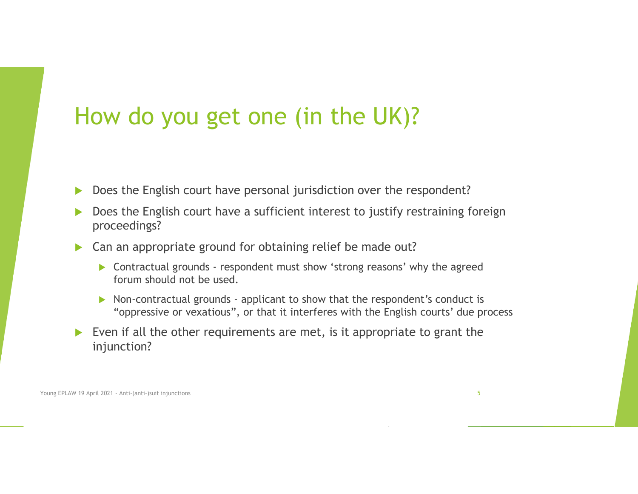#### How do you get one (in the UK)?

- $\blacktriangleright$ Does the English court have personal jurisdiction over the respondent?
- $\blacktriangleright$  Does the English court have a sufficient interest to justify restraining foreign proceedings?
- Can an appropriate ground for obtaining relief be made out?
	- Contractual grounds respondent must show 'strong reasons' why the agreed forum should not be used.
	- ▶ Non-contractual grounds applicant to show that the respondent's conduct is "oppressive or vexatious", or that it interferes with the English courts' due process
- Even if all the other requirements are met, is it appropriate to grant the injunction?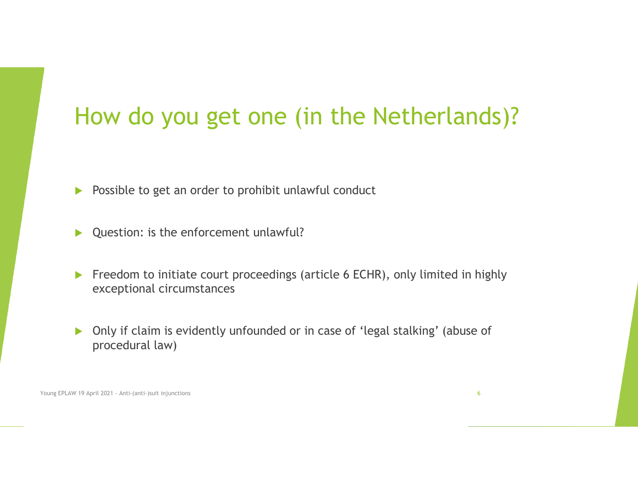## How do you get one (in the Netherlands)?

- $\blacktriangleright$ Possible to get an order to prohibit unlawful conduct
- ▶ Question: is the enforcement unlawful?
- Freedom to initiate court proceedings (article 6 ECHR), only limited in highly exceptional circumstances
- $\blacktriangleright$  Only if claim is evidently unfounded or in case of 'legal stalking' (abuse of procedural law)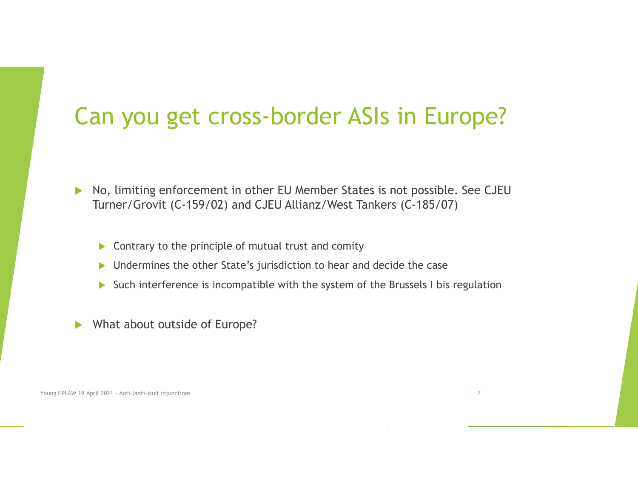#### Can you get cross-border ASIs in Europe?

- $\blacktriangleright$  No, limiting enforcement in other EU Member States is not possible. See CJEU Turner/Grovit (C-159/02) and CJEU Allianz/West Tankers (C-185/07)
	- $\triangleright$  Contrary to the principle of mutual trust and comity
	- ▶ Undermines the other State's jurisdiction to hear and decide the case
	- Such interference is incompatible with the system of the Brussels I bis regulation
- ▶ What about outside of Europe?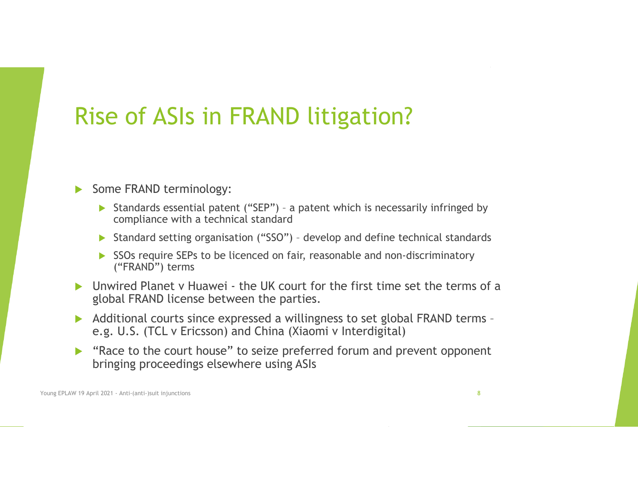### Rise of ASIs in FRAND litigation?

#### $\blacktriangleright$ Some FRAND terminology:

- Standards essential patent ("SEP") a patent which is necessarily infringed by compliance with a technical standard
- Standard setting organisation ("SSO") develop and define technical standards
- SSOs require SEPs to be licenced on fair, reasonable and non-discriminatory ("FRAND") terms
- Unwired Planet v Huawei the UK court for the first time set the terms of a global FRAND license between the parties.
- Additional courts since expressed a willingness to set global FRAND terms e.g. U.S. (TCL v Ericsson) and China (Xiaomi v Interdigital)
- "Race to the court house" to seize preferred forum and prevent opponent bringing proceedings elsewhere using ASIs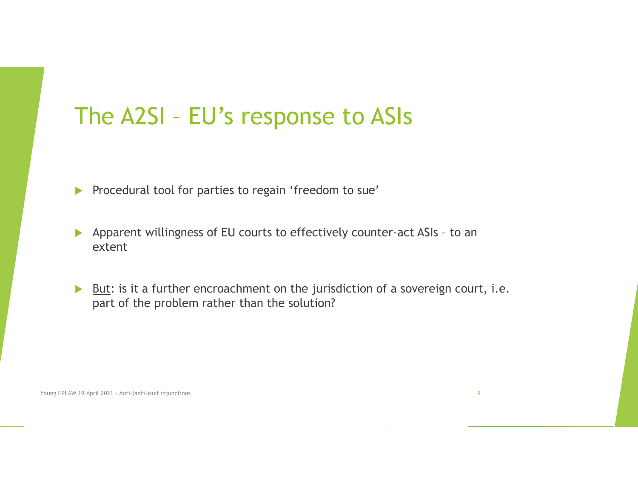#### The A2SI – EU's response to ASIs

- **Procedural tool for parties to regain 'freedom to sue'**
- Apparent willingness of EU courts to effectively counter-act ASIs to an extent
- But: is it a further encroachment on the jurisdiction of a sovereign court, i.e. part of the problem rather than the solution?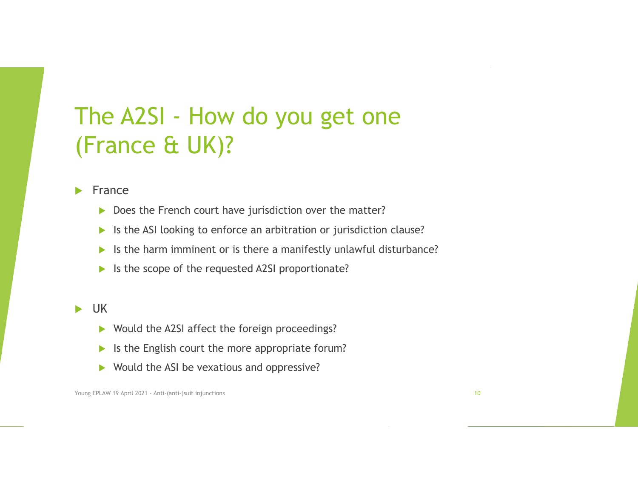## The A2SI - How do you get one (France & UK)?

 $\mathbf{L}$ France

- $\blacktriangleright$ Does the French court have jurisdiction over the matter?
- $\blacktriangleright$ Is the ASI looking to enforce an arbitration or jurisdiction clause?
- $\blacktriangleright$ Is the harm imminent or is there a manifestly unlawful disturbance?
- $\blacktriangleright$ Is the scope of the requested A2SI proportionate?

#### $\blacktriangleright$ UK

- ▶ Would the A2SI affect the foreign proceedings?
- $\blacktriangleright$ Is the English court the more appropriate forum?
- $\blacktriangleright$ Would the ASI be vexatious and oppressive?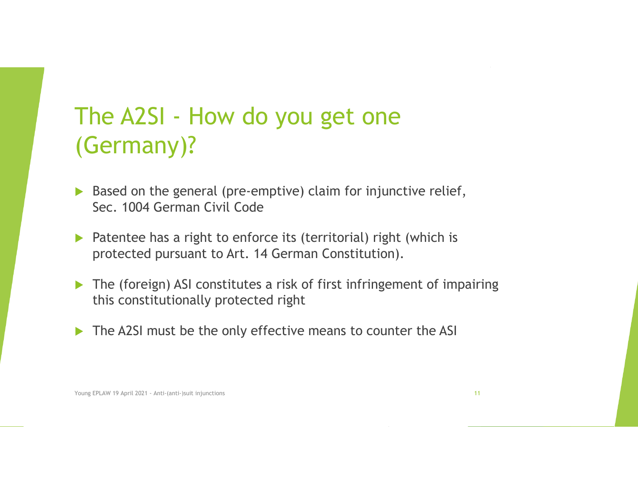## The A2SI - How do you get one (Germany)?

- Based on the general (pre-emptive) claim for injunctive relief, Sec. 1004 German Civil Code
- ▶ Patentee has a right to enforce its (territorial) right (which is protected pursuant to Art. 14 German Constitution).
- The (foreign) ASI constitutes a risk of first infringement of impairing this constitutionally protected right
- The A2SI must be the only effective means to counter the ASI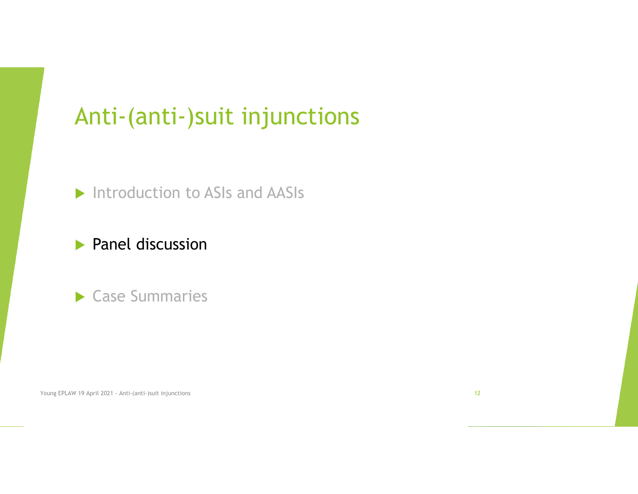#### **Introduction to ASIs and AASIs**

#### **Panel discussion**

#### Case Summaries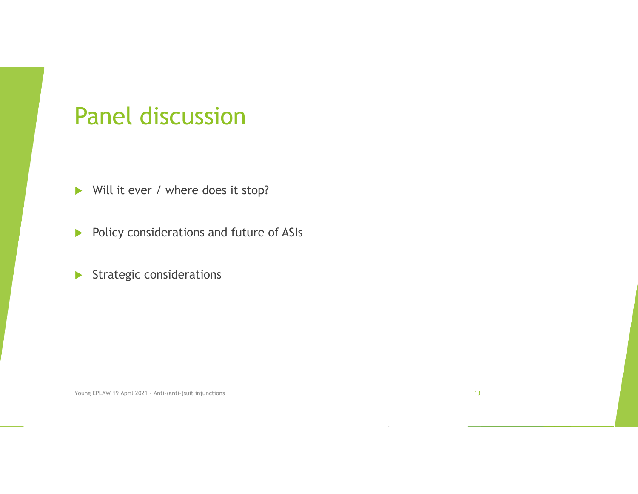#### Panel discussion

- Will it ever / where does it stop?
- $\blacktriangleright$ Policy considerations and future of ASIs
- $\blacktriangleright$ Strategic considerations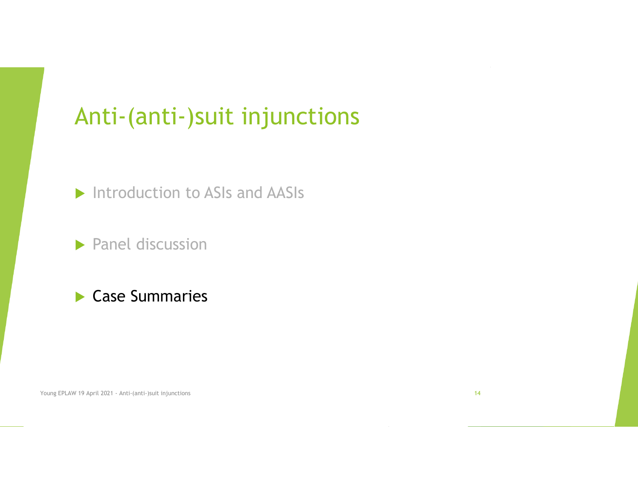**Introduction to ASIs and AASIs** 

 $\blacktriangleright$  Panel discussion

#### Case Summaries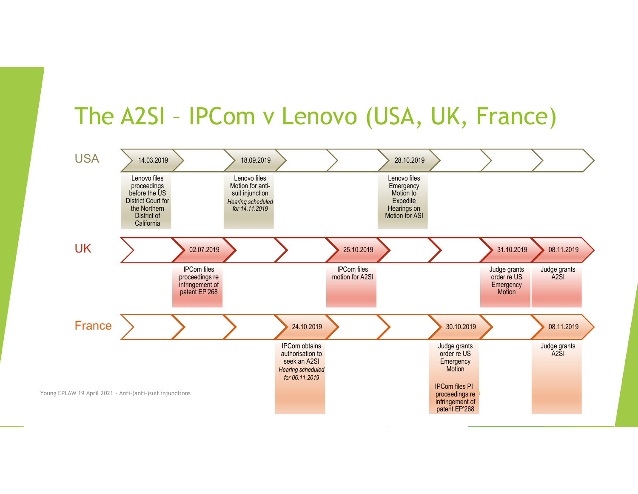### The A2SI – IPCom v Lenovo (USA, UK, France)

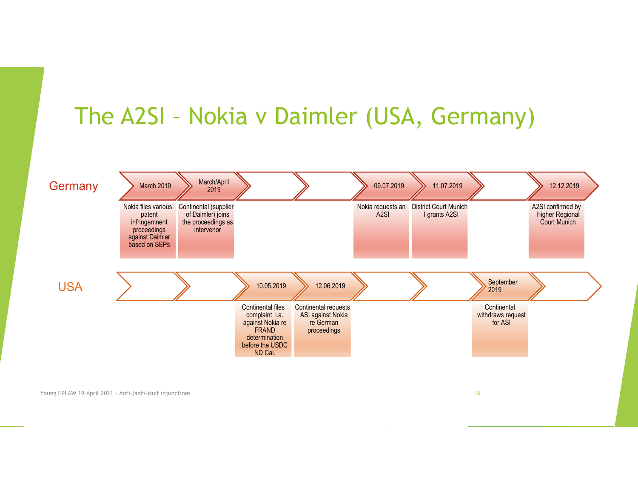### The A2SI – Nokia v Daimler (USA, Germany)

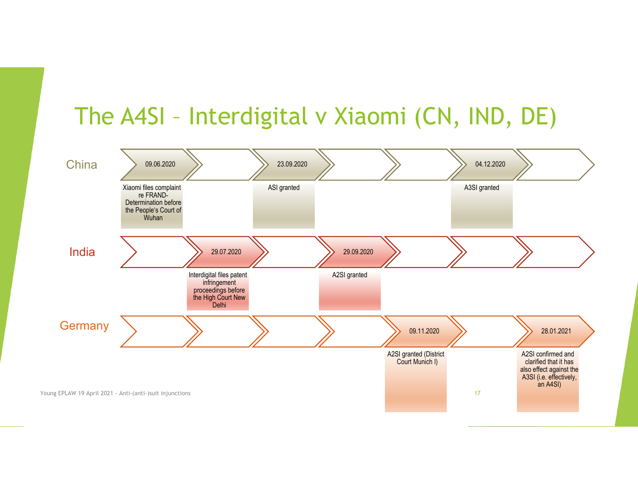### The A4SI – Interdigital v Xiaomi (CN, IND, DE)

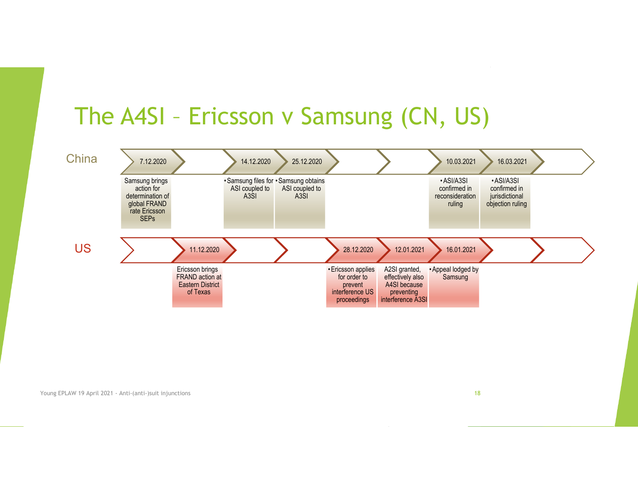#### The A4SI – Ericsson v Samsung (CN, US)

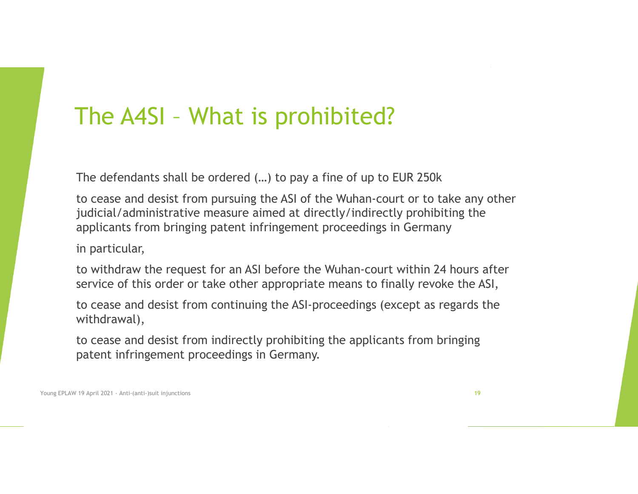#### The A4SI – What is prohibited?

The defendants shall be ordered (…) to pay a fine of up to EUR 250k

to cease and desist from pursuing the ASI of the Wuhan-court or to take any other judicial/administrative measure aimed at directly/indirectly prohibiting the applicants from bringing patent infringement proceedings in Germany

in particular,

to withdraw the request for an ASI before the Wuhan-court within 24 hours after service of this order or take other appropriate means to finally revoke the ASI,

to cease and desist from continuing the ASI-proceedings (except as regards the withdrawal),

to cease and desist from indirectly prohibiting the applicants from bringing patent infringement proceedings in Germany.